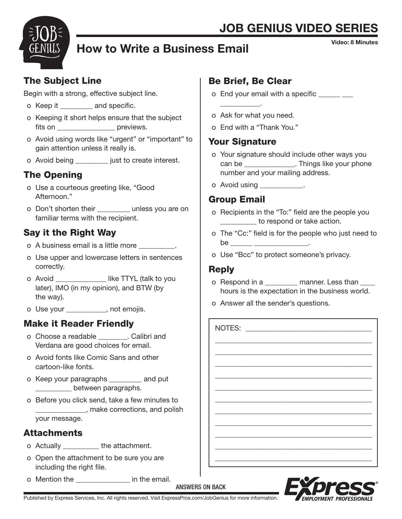# **JOB GENIUS VIDEO SERI**



# How to Write a Business Email

Video: 8 Minutes

### The Subject Line

Begin with a strong, effective subject line.

- o Keep it \_\_\_\_\_\_\_\_\_ and specific.
- o Keeping it short helps ensure that the subject fits on  $\qquad \qquad$  previews.
- o Avoid using words like "urgent" or "important" to gain attention unless it really is.
- o Avoid being \_\_\_\_\_\_\_\_\_ just to create interest.

# The Opening

- o Use a courteous greeting like, "Good Afternoon."
- o Don't shorten their exampless you are on familiar terms with the recipient.

## Say it the Right Way

- o A business email is a little more \_\_\_\_\_\_\_\_\_\_.
- o Use upper and lowercase letters in sentences correctly.
- o Avoid \_\_\_\_\_\_\_\_\_\_\_\_\_\_\_ like TTYL (talk to you later), IMO (in my opinion), and BTW (by the way).
- o Use your \_\_\_\_\_\_\_\_\_\_\_, not emojis.

## Make it Reader Friendly

- o Choose a readable \_\_\_\_\_\_\_\_. Calibri and Verdana are good choices for email.
- o Avoid fonts like Comic Sans and other cartoon-like fonts.
- o Keep your paragraphs \_\_\_\_\_\_\_\_\_ and put \_\_\_\_\_\_\_\_\_\_ between paragraphs.
- o Before you click send, take a few minutes to \_\_\_\_\_\_\_\_\_\_\_\_\_\_, make corrections, and polish your message.

#### **Attachments**

- o Actually **the attachment**.
- o Open the attachment to be sure you are including the right file.
- o Mention the **Example 2** in the email.

### Be Brief, Be Clear

- o End your email with a specific \_\_\_\_\_ \_\_
- o Ask for what you need.
- o End with a "Thank You."

### Your Signature

 $\overline{\phantom{a}}$  ,  $\overline{\phantom{a}}$  ,  $\overline{\phantom{a}}$  ,  $\overline{\phantom{a}}$  ,  $\overline{\phantom{a}}$  ,  $\overline{\phantom{a}}$  ,  $\overline{\phantom{a}}$  ,  $\overline{\phantom{a}}$  ,  $\overline{\phantom{a}}$  ,  $\overline{\phantom{a}}$  ,  $\overline{\phantom{a}}$  ,  $\overline{\phantom{a}}$  ,  $\overline{\phantom{a}}$  ,  $\overline{\phantom{a}}$  ,  $\overline{\phantom{a}}$  ,  $\overline{\phantom{a}}$ 

- o Your signature should include other ways you can be  $\qquad \qquad$  . Things like your phone number and your mailing address.
- o Avoid using

### Group Email

- o Recipients in the "To:" field are the people you to respond or take action.
- o The "Cc:" field is for the people who just need to be \_\_\_\_\_\_ \_\_\_\_\_\_\_\_\_\_\_\_\_\_\_\_\_\_\_.
- o Use "Bcc" to protect someone's privacy.

### Reply

o Respond in a \_\_\_\_\_\_\_\_ manner. Less than hours is the expectation in the business world.

\_\_\_\_\_\_\_\_\_\_\_\_\_\_\_\_\_\_\_\_\_\_\_\_\_\_\_\_\_\_\_\_\_\_\_\_\_\_\_\_\_\_\_ \_\_\_\_\_\_\_\_\_\_\_\_\_\_\_\_\_\_\_\_\_\_\_\_\_\_\_\_\_\_\_\_\_\_\_\_\_\_\_\_\_\_\_ \_\_\_\_\_\_\_\_\_\_\_\_\_\_\_\_\_\_\_\_\_\_\_\_\_\_\_\_\_\_\_\_\_\_\_\_\_\_\_\_\_\_\_ \_\_\_\_\_\_\_\_\_\_\_\_\_\_\_\_\_\_\_\_\_\_\_\_\_\_\_\_\_\_\_\_\_\_\_\_\_\_\_\_\_\_\_ \_\_\_\_\_\_\_\_\_\_\_\_\_\_\_\_\_\_\_\_\_\_\_\_\_\_\_\_\_\_\_\_\_\_\_\_\_\_\_\_\_\_\_ \_\_\_\_\_\_\_\_\_\_\_\_\_\_\_\_\_\_\_\_\_\_\_\_\_\_\_\_\_\_\_\_\_\_\_\_\_\_\_\_\_\_\_ \_\_\_\_\_\_\_\_\_\_\_\_\_\_\_\_\_\_\_\_\_\_\_\_\_\_\_\_\_\_\_\_\_\_\_\_\_\_\_\_\_\_\_ \_\_\_\_\_\_\_\_\_\_\_\_\_\_\_\_\_\_\_\_\_\_\_\_\_\_\_\_\_\_\_\_\_\_\_\_\_\_\_\_\_\_\_ \_\_\_\_\_\_\_\_\_\_\_\_\_\_\_\_\_\_\_\_\_\_\_\_\_\_\_\_\_\_\_\_\_\_\_\_\_\_\_\_\_\_\_ \_\_\_\_\_\_\_\_\_\_\_\_\_\_\_\_\_\_\_\_\_\_\_\_\_\_\_\_\_\_\_\_\_\_\_\_\_\_\_\_\_\_\_ \_\_\_\_\_\_\_\_\_\_\_\_\_\_\_\_\_\_\_\_\_\_\_\_\_\_\_\_\_\_\_\_\_\_\_\_\_\_\_\_\_\_\_

o Answer all the sender's questions.

NOTES:



Published by Express Services, Inc. All rights reserved. Visit ExpressPros.com/JobGenius for more information.

ANSWERS ON BACK